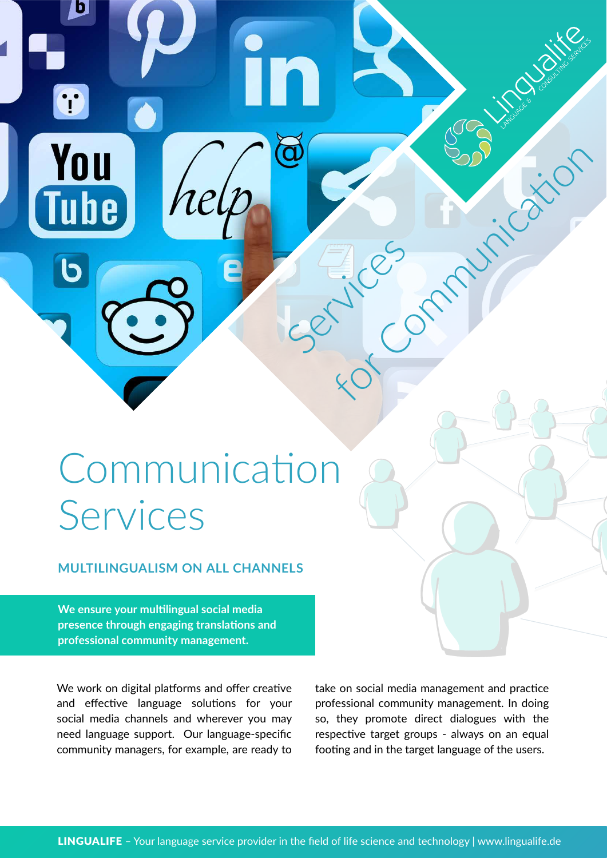# Communication Services

#### **MULTILINGUALISM ON ALL CHANNELS**

**We ensure your multilingual social media presence through engaging translations and professional community management.**

b

T

You

**Tube** 

We work on digital platforms and offer creative and effective language solutions for your social media channels and wherever you may need language support. Our language-specific community managers, for example, are ready to take on social media management and practice professional community management. In doing so, they promote direct dialogues with the respective target groups - always on an equal footing and in the target language of the users.

Services

 $\widetilde{\mathbf{a}}$ 

Fices in Fication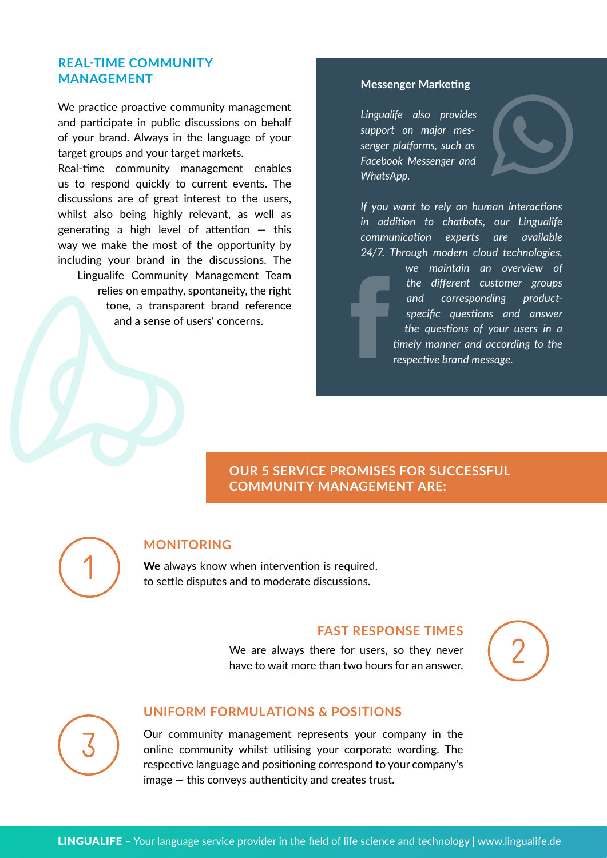#### **REAL-TIME COMMUNITY MANAGEMENT**

We practice proactive community management and participate in public discussions on behalf of your brand. Always in the language of your target groups and your target markets.

Real-time community management enables us to respond quickly to current events. The discussions are of great interest to the users, whilst also being highly relevant, as well as generating a high level of attention  $-$  this way we make the most of the opportunity by including your brand in the discussions. The Lingualife Community Management Team relies on empathy, spontaneity, the right tone, a transparent brand reference and a sense of users' concerns.

#### **Messenger Marketing**

*Lingualife also provides support on major messenger platforms, such as Facebook Messenger and WhatsApp.*



*If you want to rely on human interactions in addition to chatbots, our Lingualife communication experts are available 24/7. Through modern cloud technologies,* 

> *we maintain an overview of the different customer groups and corresponding productspecific questions and answer the questions of your users in a timely manner and according to the respective brand message.*

**OUR 5 SERVICE PROMISES FOR SUCCESSFUL COMMUNITY MANAGEMENT ARE:**



#### **MONITORING**

**We** always know when intervention is required, to settle disputes and to moderate discussions.

#### **FAST RESPONSE TIMES**

We are always there for users, so they never have to wait more than two hours for an answer.





#### **UNIFORM FORMULATIONS & POSITIONS**

Our community management represents your company in the online community whilst utilising your corporate wording. The respective language and positioning correspond to your company's image — this conveys authenticity and creates trust.